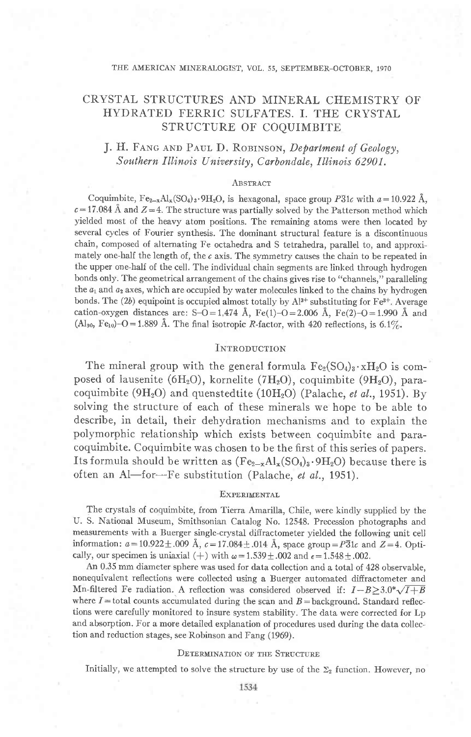### THE AMERICAN MINERALOGIST, VOL. 55, SEPTEMBER-OCTOBER, 1970

## CRYSTAL STRUCTURES AND MINERAL CHEMISTRY OF HYDRATED FERRIC SULFATES, I. THE CRYSTAL STRUCTURE OF COOUIMBITE

## J. H. FANG AND PAUL D. ROBINSON, Department of Geology, Southern Illinois University, Carbondale, Illinois 62901.

### ABSTRACT

Coquimbite,  $Fe_{2-x}Al_{x}(SO_{4})_{3} \cdot 9H_{2}O$ , is hexagonal, space group  $P_{31c}^{31}$  with  $a=10.922 \text{ Å}$ .  $c = 17.084$  Å and  $Z = 4$ . The structure was partially solved by the Patterson method which yielded most of the heavy atom positions. The remaining atoms were then located by several cycles of Fourier synthesis. The dominant structural feature is a discontinuous chain, composed of alternating Fe octahedra and S tetrahedra, parallel to, and approximately one-half the length of, the  $c$  axis. The symmetry causes the chain to be repeated in the upper one-half of the cell. The individual chain segments are linked through hydrogen bonds only. The geometrical arrangement of the chains gives rise to "channels," paralleling the  $a_1$  and  $a_2$  axes, which are occupied by water molecules linked to the chains by hydrogen bonds. The (2b) equipoint is occupied almost totally by  $Al^{3+}$  substituting for Fe<sup>3+</sup>. Average cation-oxygen distances are: S-O = 1,474 Å, Fe(1)-O = 2.006 Å, Fe(2)-O = 1.990 Å and (Al<sub>90</sub>, Fe<sub>10</sub>)-O = 1.889 Å. The final isotropic R-factor, with 420 reflections, is 6.1%.

### INTRODUCTION

The mineral group with the general formula  $Fe_2(SO_4)_3 \cdot xH_2O$  is composed of lausenite (6H<sub>2</sub>O), kornelite (7H<sub>2</sub>O), coquimbite (9H<sub>2</sub>O), paracoquimbite (9H<sub>2</sub>O) and quenstedtite (10H<sub>2</sub>O) (Palache, et al., 1951). By solving the structure of each of these minerals we hope to be able to describe, in detail, their dehydration mechanisms and to explain the polymorphic relationship which exists between coquimbite and paracoquimbite. Coquimbite was chosen to be the first of this series of papers. Its formula should be written as  $(Fe_{2-x}Al_x(SO_4)_3.9H_2O)$  because there is often an Al-for-Fe substitution (Palache, et al., 1951).

### **EXPERIMENTAL**

The crystals of coquimbite, from Tierra Amarilla, Chile, were kindly supplied by the U. S. National Museum, Smithsonian Catalog No. 12548. Precession photographs and measurements with a Buerger single-crystal diffractometer yielded the following unit cell information:  $a = 10.922 \pm .009$  Å,  $c = 17.084 \pm .014$  Å, space group =  $P_{0}^{31}c$  and  $Z = 4$ . Optically, our specimen is uniaxial (+) with  $\omega = 1.539 \pm .002$  and  $\epsilon = 1.548 \pm .002$ .

An 0.35 mm diameter sphere was used for data collection and a total of 428 observable, nonequivalent reflections were collected using a Buerger automated diffractometer and Mn-filtered Fe radiation. A reflection was considered observed if:  $I-B \geq 3.0^* \sqrt{I+B}$ where  $I =$  total counts accumulated during the scan and  $B =$  background. Standard reflections were carefully monitored to insure system stability. The data were corrected for Lp and absorption. For a more detailed explanation of procedures used during the data collection and reduction stages, see Robinson and Fang (1969).

### **DETERMINATION OF THE STRUCTURE**

Initially, we attempted to solve the structure by use of the  $\Sigma_2$  function. However, no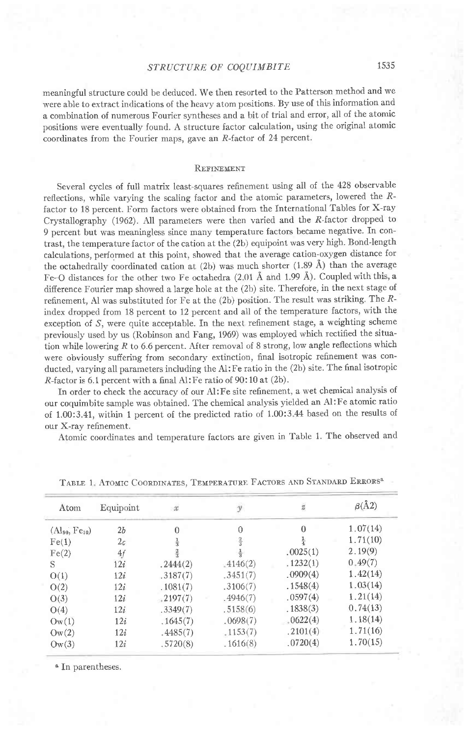### STRUCTURE OF COQUIMBITE 1535

meaningful structure could be deduced. We then resorted to the Patterson method and we were able to extract indications of the heavy atom positions. Ry use of this information and a combination of numerous Fourier syntheses and a bit of trial and error, all of the atomic positions were eventually found. A structure factor calculation, using the original atomic coordinates from the Fourier maps, gave an  $R$ -factor of 24 percent.

### REFINEMENT

Several cycles of full matrix least-squares refinement using all of the 428 observable reflections, while varying the scaling factor and the atomic parameters, lowered the Rfactor to 18 percent. Form factors were obtained from the International Tables for X-ray Crystallography (1962). All parameters were then varied and the R-factor dropped to 9 percent but was meaningless since many temperature factors became negative. In contrast, the temperature factor of the cation at the (2b) equipoint was very high. Bond-length calculations, performed at this point, showed that the average cation-oxygen distance for the octahedrally coordinated cation at (2b) was much shorter (1.89 A) than the average Fe-O distances for the other two Fe octahedra (2.01 Å and 1.99 Å). Coupled with this, a difference Fourier map showed a large hole at the (2b) site. Therefore, in the next stage of refinement, Al was substituted for Fe at the (2b) position. The result was striking. The  $R$ index dropped from 18 percent to 12 percent and all of the temperature factors, with the exception of S, were quite acceptable. In the next refinement stage, a weighting scheme previously used by us (Robinson and Fang, 1969) was employed which rectified the situation while lowering  $R$  to 6.6 percent. After removal of 8 strong, low angle reflections which were obviously suflering from secondary extinction, final isotropic refinement was conducted, varying aII parameters including the A1: Fe ratio in the (2b) site. The final isotropic R-factor is 6.1 percent with a final Al: Fe ratio of 90: 10 at (2b) .

In order to check the accuracy of our Al:Fe site refinement, a wet chemical anaiysis of our coquimbite sample was obtained. The chemical analysis yielded an Al:Fe atomic ratio of 1.00:3.41, within 1 percent of the predicted ratio of 1.00:3 44 based on the results of our X-ray refinement.

Atomic coordinates and temperature factors are given in Table 1. The observed and

| Atom                 | Equipoint | $\mathcal{X}% _{0}=\mathcal{X}_{0}$ | $\mathcal{Y}$ | ä             | $\beta(\AA 2)$ |  |
|----------------------|-----------|-------------------------------------|---------------|---------------|----------------|--|
| $(Al_{90}, Fe_{10})$ | 2b        | $\theta$                            | 0             | $\Omega$      | 1.07(14)       |  |
| Fe(1)                | 2c        | $\frac{1}{3}$                       | $\frac{2}{3}$ | $\frac{1}{4}$ | 1.71(10)       |  |
| Fe(2)                | 4f        | $\frac{2}{3}$                       | $\frac{1}{3}$ | .0025(1)      | 2.19(9)        |  |
| S                    | 12i       | .2444(2)                            | $-4146(2)$    | .1232(1)      | 0.49(7)        |  |
| O(1)                 | 12i       | .3187(7)                            | .3451(7)      | .0909(4)      | 1.42(14)       |  |
| O(2)                 | 12i       | .1081(7)                            | .3106(7)      | .1548(4)      | 1.03(14)       |  |
| O(3)                 | 12i       | $-2197(7)$                          | .4946(7)      | .0597(4)      | 1.21(14)       |  |
| O(4)                 | 12i       | .3349(7)                            | .5158(6)      | .1838(3)      | 0.74(13)       |  |
| $\text{Ow}(1)$       | 12i       | .1645(7)                            | .0698(7)      | .0622(4)      | 1.18(14)       |  |
| $\text{Ow}(2)$       | 12i       | .4485(7)                            | .1153(7)      | .2101(4)      | 1.71(16)       |  |
| $\text{Ow}(3)$       | 12i       | .5720(8)                            | .1616(8)      | .0720(4)      | 1.70(15)       |  |

TABLE 1. ATOMIC COORDINATES, TEMPERATURE FACTORS AND STANDARD ERRORS<sup>&</sup>

a In parentheses.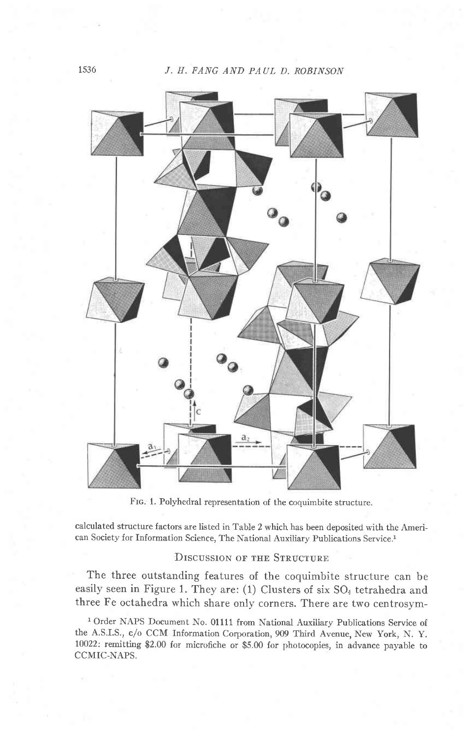

Frc. 1. Polyhedral representation of the coquimbite structure.

calculated structure factors are listed in Table 2 which has been deposited with the American Society for Information Science, The National Auxiliary Publications Service.<sup>1</sup>

### DISCUSSION OF THE STRUCTURE

The three outstanding features of the coquimbite structure can be easily seen in Figure 1. They are: (1) Clusters of six  $SO<sub>4</sub>$  tetrahedra and three Fe octahedra which share only corners. There are two centrosym-

<sup>1</sup> Order NAPS Document No. 01111 from National Auxiliary Publications Service of the A.S.I.S., c/o CCM Information Corporation, 909 Third Avenue, New York, N. y. 10022: remitting \$2.00 for microfiche or \$5.00 for photocopies, in advance payable to CCMIC.NAPS.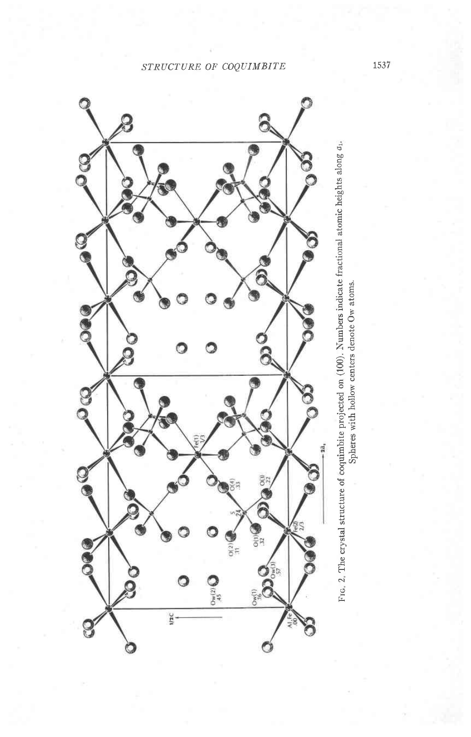# STRUCTURE OF COQUIMBITE



1537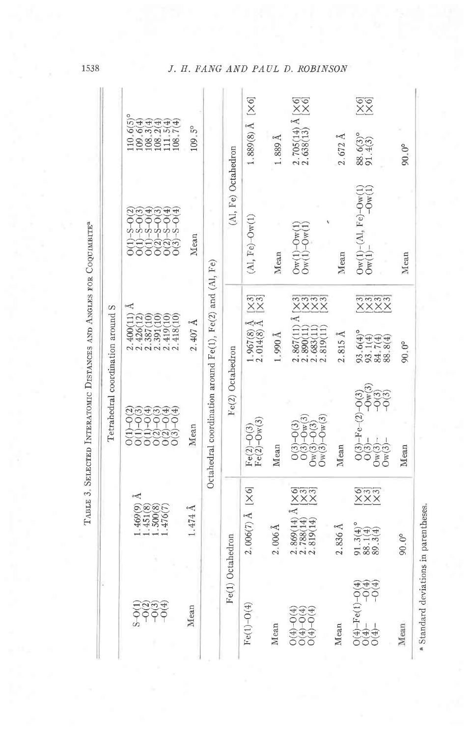| TABLE 3. SELECTED INTERATOMIC DISTANCES AND ANGLES FOR COQUIMETTE <sup>3</sup><br>Tetrahedral coordination around S | $110.6(5)$ <sup>o</sup><br>$\begin{array}{l} 109.6(4)\\ 108.3(4)\\ 108.2(4)\\ 108.5(4)\\ 111.5(4)\\ 108.7(4) \end{array}$<br>$-5 - 0.4$ | 109.5°                                                    |                                                                    | (Al, Fe) Octahedron | $1.889(8)$ Å [X6]                          | $1.889$ Å           | $\begin{array}{ll} 2.705(14) \,\text{\AA} \,\,[\times 6]\\ 2.638(13) & [\times 6] \end{array}$ | $2.672 \text{ Å}$                                                                                                         | $\frac{60}{20}$<br>$88.6(3)°$<br>91.4(3)<br>$0w(1)-(A1, Fe)-0w(1)$<br>$0w(1)$ - $-0w(1)$                                                                             | $90.0^{\circ}$                                     |                |
|---------------------------------------------------------------------------------------------------------------------|-----------------------------------------------------------------------------------------------------------------------------------------|-----------------------------------------------------------|--------------------------------------------------------------------|---------------------|--------------------------------------------|---------------------|------------------------------------------------------------------------------------------------|---------------------------------------------------------------------------------------------------------------------------|----------------------------------------------------------------------------------------------------------------------------------------------------------------------|----------------------------------------------------|----------------|
|                                                                                                                     |                                                                                                                                         | <del>ටට</del> හන<br>00000                                 | Mean                                                               |                     |                                            | $(A, Fe)-Ow(1)$     | Mean                                                                                           | $O_{W}(1) - O_{W}(1)$<br>$\text{Ow}(1)$ - $\text{Ow}(1)$                                                                  | Mean                                                                                                                                                                 |                                                    | Mean           |
|                                                                                                                     | Å<br>2.400(11)<br>$\begin{array}{c} 2.426(12) \\ 2.387(10) \\ 2.391(10) \end{array}$<br>2.419(10)<br>2.418(10)                          | $2.407 \text{ Å}$                                         | Octahedral coordination around $Fe(1)$ , $Fe(2)$ and $(A)$ , $Fe)$ | Fe(2) Octahedron    | $\frac{3}{2}$<br>$1.967(8)$ Å $2.014(8)$ Å | $1.990\,\text{\AA}$ | nnnn<br>XXXX<br>$2.867(11)$ Å<br>2.683(11)<br>2.819(11)<br>2.890(11)                           | $2.815 \text{ Å}$                                                                                                         | nnnn<br>XXXX<br>93.6(4)°<br>93.1(4)<br>84.7(4)<br>88.8(4)                                                                                                            | $90.0^{\circ}$                                     |                |
|                                                                                                                     | 000<br>000<br>$-0(4)$<br>$-0(3)$<br>$-O(4)$<br>$O(3)-O(4)$<br>$\widehat{\Xi}$<br>$\frac{2}{00}$<br>O(1)<br>$\overline{C}$               | Mean                                                      |                                                                    |                     | $Fe(2)-O(3)$<br>Fe(2)-Ow(3)                | Mean                | $0(3)-0(3)$<br>$0(3)-0w(3)$<br>$0w(3)-0(3)$<br>$Dw(3) - Qw(3)$                                 | Mean                                                                                                                      | $\begin{array}{c} O(3)-{\rm Fe}\!-\!(2)-O(3) \\ O(3)-\qquad-\rm{Ow}(3) \\ O{\rm w}(3)-\qquad-O(3) \\ O{\rm w}(3)-\qquad-O(3) \\ O{\rm w}(3)-\qquad-O(3) \end{array}$ | Mean                                               |                |
|                                                                                                                     |                                                                                                                                         | Å<br>$1.469(9)$<br>$1.451(8)$<br>$1.500(8)$<br>$1.476(7)$ | $1.474$ Å                                                          |                     |                                            | $2.006(7)$ Å [X6]   | $2$ , 006 Å                                                                                    | $\begin{array}{ll} 2.869(14) \; \text{\AA} \; [\times 6]\\ 2.788(14) & [\times 3]\\ 2.819(14) & [\times 3]\\ \end{array}$ | $2.836 \, \text{\AA}$                                                                                                                                                | S33<br>XXX<br>$91.3(4)°$<br>$88.1(4)$<br>$89.3(4)$ | $90.0^{\circ}$ |
|                                                                                                                     | <b>କୁ</b><br>୧୧୭୭<br>ଜୀବ                                                                                                                | Mean                                                      |                                                                    | Fe(1) Octahedron    | $Fe(1)-O(4)$                               | Mean                | $O(4)-O(4)$<br>$O(4)-O(4)$<br>$O(4)-O(4)$                                                      | Mean                                                                                                                      | EEO<br>$O(4) - Fe(1) - O(4)$<br>O(4)<br>O(4)                                                                                                                         | Mean                                               |                |

1538

# J. H. FANG AND PAUL D. ROBINSON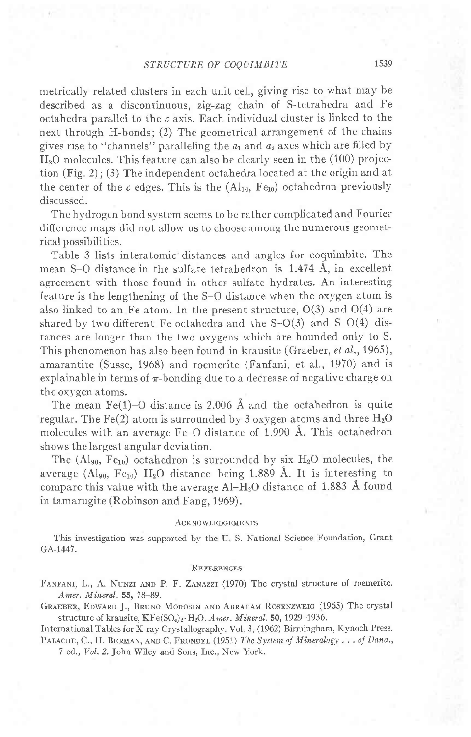metrically related clusters in each unit cell, giving rise to what may be described as a discontinuous, zig-zag chain of S-tetrahedra and Fe octahedra parallel to the  $c$  axis. Each individual cluster is linked to the next through H-bonds; (2) The geometrical arrangement of the chains gives rise to "channels" paralleling the  $a_1$  and  $a_2$  axes which are filled by  $H<sub>2</sub>O$  molecules. This feature can also be clearly seen in the  $(100)$  projection (Fig. 2); (3) The independent octahedra located at the origin and at the center of the c edges. This is the  $(Al_{90}, Fe_{10})$  octahedron previously discussed.

The hydrogen bond system seems to be rather complicated and Fourier difference maps did not allow us to choose among the numerous geometrical possibilities.

Table 3 lists interatomic distances and angles for coquimbite. The mean S-O distance in the sulfate tetrahedron is 1.474 A, in excellent agreement with those found in other sulfate hydrates. An interesting feature is the lengthening of the S-O distance when the oxygen atom is also linked to an Fe atom. In the present structure,  $O(3)$  and  $O(4)$  are shared by two different Fe octahedra and the  $S-O(3)$  and  $S-O(4)$  distances are longer than the two oxygens which are bounded only to S. This phenomenon has also been found in krausite (Graeber, et al., 1965), amarantite (Susse, 1968) and roemerite (Fanfani, et al., 1970) and is explainable in terms of  $\pi$ -bonding due to a decrease of negative charge on the oxygen atoms.

The mean  $Fe(1)-O$  distance is 2.006 Å and the octahedron is quite regular. The Fe(2) atom is surrounded by 3 oxygen atoms and three  $H_2O$ molecules with an average Fe-O distance of 1.990 A. This octahedron shows the largest angular deviation.

The  $(Al_{90}$ , Fe<sub>10</sub>) octahedron is surrounded by six H<sub>2</sub>O molecules, the average (Al<sub>90</sub>, Fe<sub>10</sub>)-H<sub>2</sub>O distance being 1.889 Å. It is interesting to compare this value with the average  $Al-H_2O$  distance of 1.883 Å found in tamarugite (Robinson and Fang, 1969).

### ACKNOWLEDGEMENTS

This investigation was supported by the U.S. National Science Foundation, Grant GA-1447.

### REFERENCES

FANFANI, L., A. NUNZI AND P. F. ZANAZZI (1970) The crystal structure of roemerite. Amer. Mineral. 55, 78-89.

GRAEBER, EDWARD J., BRUNO MOROSIN AND ABRAHAM ROSENZWEIG (1965) The crystal structure of krausite, KFe(SO<sub>4</sub>)<sub>2</sub>·H<sub>2</sub>O. A mer. Mineral. 50, 1929-1936.

International Tables for X-ray Crystallography. Vol. 3, (1962) Birmingham, Kynoch Press. PALACHE, C., H. BERMAN, AND C. FRONDEL (1951) The System of Mineralogy . . . of Dana.,

7 ed., Vol. 2. John Wiley and Sons, Inc., New York.